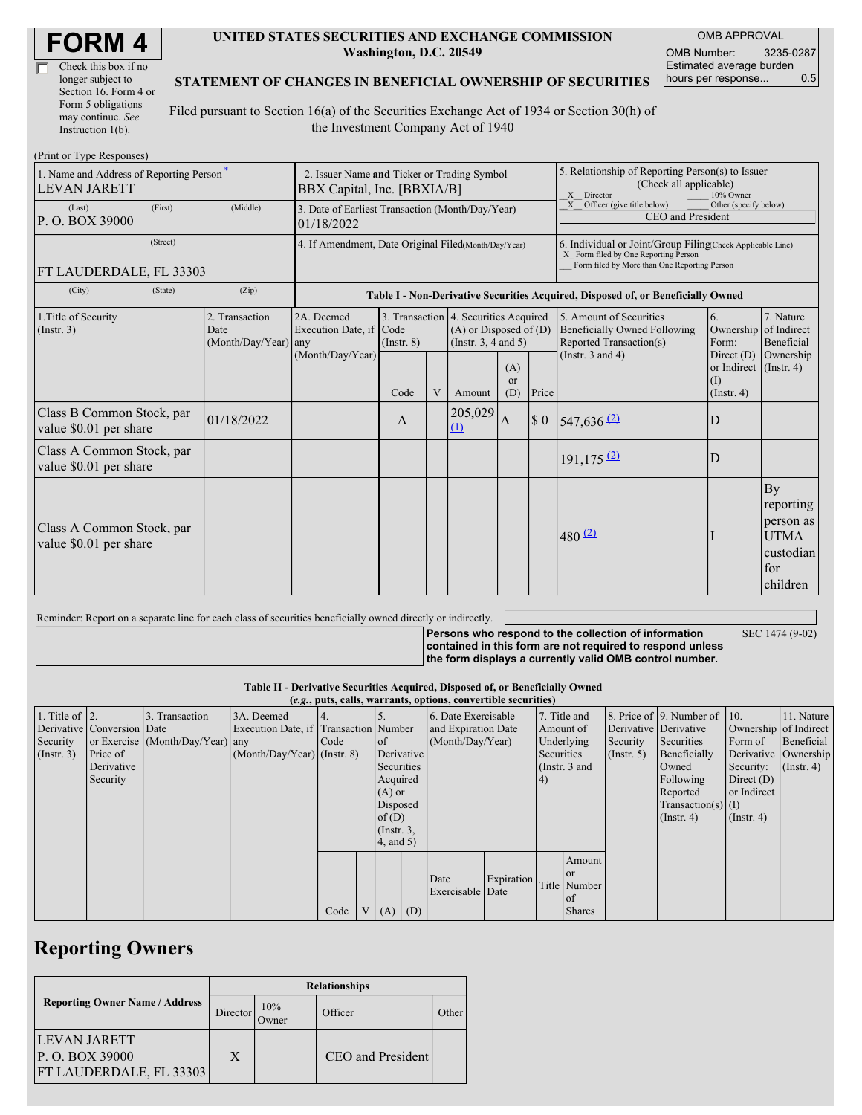| Check this box if no  |
|-----------------------|
| longer subject to     |
| Section 16. Form 4 or |
| Form 5 obligations    |
| may continue. See     |
| Instruction 1(b).     |

#### **UNITED STATES SECURITIES AND EXCHANGE COMMISSION Washington, D.C. 20549**

OMB APPROVAL OMB Number: 3235-0287 Estimated average burden hours per response... 0.5

### **STATEMENT OF CHANGES IN BENEFICIAL OWNERSHIP OF SECURITIES**

Filed pursuant to Section 16(a) of the Securities Exchange Act of 1934 or Section 30(h) of the Investment Company Act of 1940

| (Print or Type Responses)                                       |                                                                            |                                                                                  |                         |   |                                                                                                 |                             |                                                                                                                                                    |                                                                                           |                                                            |                                                                             |  |
|-----------------------------------------------------------------|----------------------------------------------------------------------------|----------------------------------------------------------------------------------|-------------------------|---|-------------------------------------------------------------------------------------------------|-----------------------------|----------------------------------------------------------------------------------------------------------------------------------------------------|-------------------------------------------------------------------------------------------|------------------------------------------------------------|-----------------------------------------------------------------------------|--|
| 1. Name and Address of Reporting Person-<br><b>LEVAN JARETT</b> | 2. Issuer Name and Ticker or Trading Symbol<br>BBX Capital, Inc. [BBXIA/B] |                                                                                  |                         |   |                                                                                                 |                             | 5. Relationship of Reporting Person(s) to Issuer<br>(Check all applicable)<br>X Director<br>10% Owner                                              |                                                                                           |                                                            |                                                                             |  |
| (First)<br>(Last)<br>P. O. BOX 39000                            | (Middle)                                                                   | 3. Date of Earliest Transaction (Month/Day/Year)<br>01/18/2022                   |                         |   |                                                                                                 |                             |                                                                                                                                                    | Officer (give title below)<br>Other (specify below)<br>X<br>CEO and President             |                                                            |                                                                             |  |
| (Street)<br>FT LAUDERDALE, FL 33303                             | 4. If Amendment, Date Original Filed(Month/Day/Year)                       |                                                                                  |                         |   |                                                                                                 |                             | 6. Individual or Joint/Group Filing(Check Applicable Line)<br>X Form filed by One Reporting Person<br>Form filed by More than One Reporting Person |                                                                                           |                                                            |                                                                             |  |
| (City)<br>(State)                                               | (Zip)                                                                      | Table I - Non-Derivative Securities Acquired, Disposed of, or Beneficially Owned |                         |   |                                                                                                 |                             |                                                                                                                                                    |                                                                                           |                                                            |                                                                             |  |
| 1. Title of Security<br>(Insert. 3)                             | 2. Transaction<br>Date<br>$(Month/Day/Year)$ any                           | 2A. Deemed<br>Execution Date, if<br>(Month/Day/Year)                             | Code<br>$($ Instr. $8)$ |   | 3. Transaction 4. Securities Acquired<br>$(A)$ or Disposed of $(D)$<br>(Instr. $3, 4$ and $5$ ) |                             |                                                                                                                                                    | 5. Amount of Securities<br><b>Beneficially Owned Following</b><br>Reported Transaction(s) | 6.<br>Ownership of Indirect<br>Form:                       | 7. Nature<br>Beneficial                                                     |  |
|                                                                 |                                                                            |                                                                                  | Code                    | V | Amount                                                                                          | (A)<br><sub>or</sub><br>(D) | Price                                                                                                                                              | (Instr. $3$ and $4$ )                                                                     | Direct (D)<br>or Indirect (Instr. 4)<br>(1)<br>(Insert. 4) | Ownership                                                                   |  |
| Class B Common Stock, par<br>value \$0.01 per share             | 01/18/2022                                                                 |                                                                                  | A                       |   | 205,029<br>(1)                                                                                  | $\overline{A}$              | $\boldsymbol{\$}\ 0$                                                                                                                               | $547,636$ <sup>(2)</sup>                                                                  | D                                                          |                                                                             |  |
| Class A Common Stock, par<br>value \$0.01 per share             |                                                                            |                                                                                  |                         |   |                                                                                                 |                             |                                                                                                                                                    | $191, 175$ <sup>(2)</sup>                                                                 | D                                                          |                                                                             |  |
| Class A Common Stock, par<br>value \$0.01 per share             |                                                                            |                                                                                  |                         |   |                                                                                                 |                             |                                                                                                                                                    | 480 $(2)$                                                                                 |                                                            | By<br>reporting<br>person as<br><b>UTMA</b><br>custodian<br>for<br>children |  |

#### Reminder: Report on a separate line for each class of securities beneficially owned directly or indirectly. **Persons who respond to the collection of information contained in this form are not required to respond unless** SEC 1474 (9-02)

**the form displays a currently valid OMB control number.**

**Table II - Derivative Securities Acquired, Disposed of, or Beneficially Owned**

| (e.g., puts, calls, warrants, options, convertible securities) |                            |                                  |                                       |      |  |               |                     |                     |            |                 |                  |                       |                              |                       |                  |
|----------------------------------------------------------------|----------------------------|----------------------------------|---------------------------------------|------|--|---------------|---------------------|---------------------|------------|-----------------|------------------|-----------------------|------------------------------|-----------------------|------------------|
| 1. Title of $\vert$ 2.                                         |                            | 3. Transaction                   | 3A. Deemed                            |      |  |               |                     | 6. Date Exercisable |            | 7. Title and    |                  |                       | 8. Price of 9. Number of 10. |                       | 11. Nature       |
|                                                                | Derivative Conversion Date |                                  | Execution Date, if Transaction Number |      |  |               | and Expiration Date |                     |            | Amount of       |                  | Derivative Derivative |                              | Ownership of Indirect |                  |
| Security                                                       |                            | or Exercise (Month/Day/Year) any |                                       | Code |  | <b>l</b> of   | (Month/Day/Year)    |                     | Underlying |                 | Security         | Securities            | Form of                      | Beneficial            |                  |
| $($ Instr. 3 $)$                                               | Price of                   |                                  | $(Month/Day/Year)$ (Instr. 8)         |      |  | Derivative    |                     |                     | Securities |                 | $($ Instr. 5 $)$ | Beneficially          | Derivative Ownership         |                       |                  |
|                                                                | Derivative                 |                                  |                                       |      |  | Securities    |                     |                     |            | (Instr. $3$ and |                  |                       | Owned                        | Security:             | $($ Instr. 4 $)$ |
|                                                                | Security                   |                                  |                                       |      |  |               | Acquired            |                     | $\vert 4)$ |                 | Following        | Direct $(D)$          |                              |                       |                  |
|                                                                |                            |                                  |                                       |      |  | $(A)$ or      |                     |                     |            |                 |                  | Reported              | or Indirect                  |                       |                  |
|                                                                |                            |                                  |                                       |      |  | Disposed      |                     |                     |            |                 |                  |                       | Transaction(s) $(I)$         |                       |                  |
|                                                                |                            |                                  |                                       |      |  | of $(D)$      |                     |                     |            |                 |                  |                       | $($ Instr. 4)                | $($ Instr. 4 $)$      |                  |
|                                                                |                            |                                  |                                       |      |  | $($ Instr. 3, |                     |                     |            |                 |                  |                       |                              |                       |                  |
|                                                                |                            |                                  |                                       |      |  | $4$ , and 5)  |                     |                     |            |                 |                  |                       |                              |                       |                  |
|                                                                |                            |                                  |                                       |      |  |               |                     |                     |            |                 | Amount           |                       |                              |                       |                  |
|                                                                |                            |                                  |                                       |      |  |               |                     |                     |            |                 | <b>or</b>        |                       |                              |                       |                  |
|                                                                |                            |                                  |                                       |      |  |               |                     | Date                | Expiration |                 | Title Number     |                       |                              |                       |                  |
|                                                                |                            |                                  |                                       |      |  |               |                     | Exercisable Date    |            |                 | of               |                       |                              |                       |                  |
|                                                                |                            |                                  |                                       | Code |  | $V(A)$ (D)    |                     |                     |            |                 | <b>Shares</b>    |                       |                              |                       |                  |

# **Reporting Owners**

|                                                                   | <b>Relationships</b> |              |                          |       |  |  |  |  |  |
|-------------------------------------------------------------------|----------------------|--------------|--------------------------|-------|--|--|--|--|--|
| <b>Reporting Owner Name / Address</b>                             | Director             | 10%<br>Owner | Officer                  | Other |  |  |  |  |  |
| LEVAN JARETT<br>P. O. BOX 39000<br><b>FT LAUDERDALE, FL 33303</b> | X                    |              | <b>CEO</b> and President |       |  |  |  |  |  |